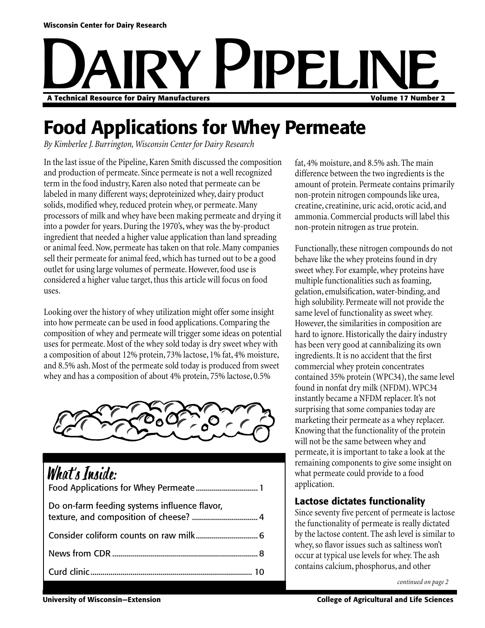# Dairy Pipeline **A Technical Resource for Dairy Manufacturers Volume 17 Number 2**

### **Food Applications for Whey Permeate**

*By Kimberlee J. Burrington, Wisconsin Center for Dairy Research*

In the last issue of the Pipeline, Karen Smith discussed the composition and production of permeate. Since permeate is not a well recognized term in the food industry, Karen also noted that permeate can be labeled in many different ways; deproteinized whey, dairy product solids, modified whey, reduced protein whey, or permeate. Many processors of milk and whey have been making permeate and drying it into a powder for years. During the 1970's, whey was the by-product ingredient that needed a higher value application than land spreading or animal feed. Now, permeate has taken on that role. Many companies sell their permeate for animal feed, which has turned out to be a good outlet for using large volumes of permeate. However, food use is considered a higher value target, thus this article will focus on food uses.

Looking over the history of whey utilization might offer some insight into how permeate can be used in food applications. Comparing the composition of whey and permeate will trigger some ideas on potential uses for permeate. Most of the whey sold today is dry sweet whey with a composition of about 12% protein, 73% lactose, 1% fat, 4% moisture, and 8.5% ash. Most of the permeate sold today is produced from sweet whey and has a composition of about 4% protein, 75% lactose, 0.5%



### What's Inside:

| $\blacksquare$ we say the contract of $\blacksquare$ |  |
|------------------------------------------------------|--|
| Do on-farm feeding systems influence flavor,         |  |
|                                                      |  |
|                                                      |  |
|                                                      |  |

fat, 4% moisture, and 8.5% ash. The main difference between the two ingredients is the amount of protein. Permeate contains primarily non-protein nitrogen compounds like urea, creatine, creatinine, uric acid, orotic acid, and ammonia. Commercial products will label this non-protein nitrogen as true protein.

Functionally, these nitrogen compounds do not behave like the whey proteins found in dry sweet whey. For example, whey proteins have multiple functionalities such as foaming, gelation, emulsification, water-binding, and high solubility. Permeate will not provide the same level of functionality as sweet whey. However, the similarities in composition are hard to ignore. Historically the dairy industry has been very good at cannibalizing its own ingredients. It is no accident that the first commercial whey protein concentrates contained 35% protein (WPC34), the same level found in nonfat dry milk (NFDM). WPC34 instantly became a NFDM replacer. It's not surprising that some companies today are marketing their permeate as a whey replacer. Knowing that the functionality of the protein will not be the same between whey and permeate, it is important to take a look at the remaining components to give some insight on what permeate could provide to a food application.

#### **Lactose dictates functionality**

Since seventy five percent of permeate is lactose the functionality of permeate is really dictated by the lactose content. The ash level is similar to whey, so flavor issues such as saltiness won't occur at typical use levels for whey. The ash contains calcium, phosphorus, and other

*continued on page 2*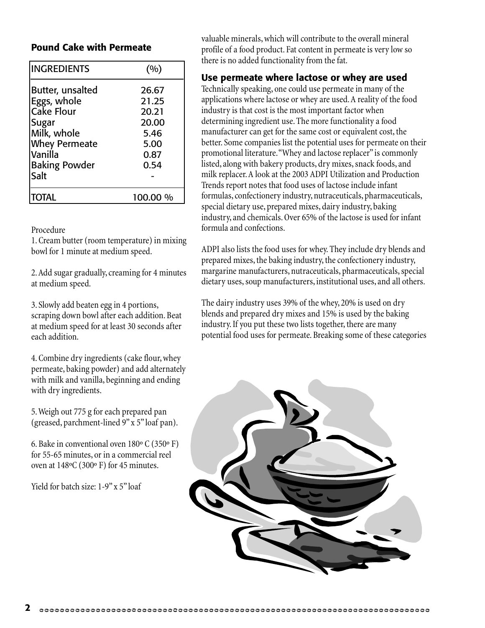#### **Pound Cake with Permeate**

| <b>INGREDIENTS</b>   | (%)      |
|----------------------|----------|
| Butter, unsalted     | 26.67    |
| Eggs, whole          | 21.25    |
| Cake Flour           | 20.21    |
| <b>Sugar</b>         | 20.00    |
| Milk, whole          | 5.46     |
| <b>Whey Permeate</b> | 5.00     |
| Vanilla              | 0.87     |
| <b>Baking Powder</b> | 0.54     |
| Salt                 |          |
| <b>TOTAL</b>         | 100.00 % |

#### Procedure

1. Cream butter (room temperature) in mixing bowl for 1 minute at medium speed.

2. Add sugar gradually, creaming for 4 minutes at medium speed.

3. Slowly add beaten egg in 4 portions, scraping down bowl after each addition. Beat at medium speed for at least 30 seconds after each addition.

4. Combine dry ingredients (cake flour, whey permeate, baking powder) and add alternately with milk and vanilla, beginning and ending with dry ingredients.

5. Weigh out 775 g for each prepared pan (greased, parchment-lined 9" x 5" loaf pan).

6. Bake in conventional oven 180º C (350º F) for 55-65 minutes, or in a commercial reel oven at 148ºC (300º F) for 45 minutes.

Yield for batch size: 1-9" x 5" loaf

valuable minerals, which will contribute to the overall mineral profile of a food product. Fat content in permeate is very low so there is no added functionality from the fat.

#### **Use permeate where lactose or whey are used**

Technically speaking, one could use permeate in many of the applications where lactose or whey are used. A reality of the food industry is that cost is the most important factor when determining ingredient use. The more functionality a food manufacturer can get for the same cost or equivalent cost, the better. Some companies list the potential uses for permeate on their promotional literature. "Whey and lactose replacer" is commonly listed, along with bakery products, dry mixes, snack foods, and milk replacer. A look at the 2003 ADPI Utilization and Production Trends report notes that food uses of lactose include infant formulas, confectionery industry, nutraceuticals, pharmaceuticals, special dietary use, prepared mixes, dairy industry, baking industry, and chemicals. Over 65% of the lactose is used for infant formula and confections.

ADPI also lists the food uses for whey. They include dry blends and prepared mixes, the baking industry, the confectionery industry, margarine manufacturers, nutraceuticals, pharmaceuticals, special dietary uses, soup manufacturers, institutional uses, and all others.

The dairy industry uses 39% of the whey, 20% is used on dry blends and prepared dry mixes and 15% is used by the baking industry. If you put these two lists together, there are many potential food uses for permeate. Breaking some of these categories

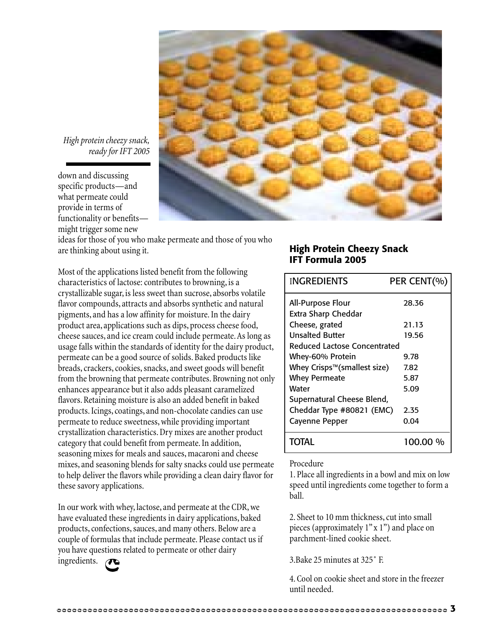

*High protein cheezy snack, ready for IFT 2005*

down and discussing specific products—and what permeate could provide in terms of functionality or benefits might trigger some new

ideas for those of you who make permeate and those of you who are thinking about using it.

Most of the applications listed benefit from the following characteristics of lactose: contributes to browning, is a crystallizable sugar, is less sweet than sucrose, absorbs volatile flavor compounds, attracts and absorbs synthetic and natural pigments, and has a low affinity for moisture. In the dairy product area, applications such as dips, process cheese food, cheese sauces, and ice cream could include permeate. As long as usage falls within the standards of identity for the dairy product, permeate can be a good source of solids. Baked products like breads, crackers, cookies, snacks, and sweet goods will benefit from the browning that permeate contributes. Browning not only enhances appearance but it also adds pleasant caramelized flavors. Retaining moisture is also an added benefit in baked products. Icings, coatings, and non-chocolate candies can use permeate to reduce sweetness, while providing important crystallization characteristics. Dry mixes are another product category that could benefit from permeate. In addition, seasoning mixes for meals and sauces, macaroni and cheese mixes, and seasoning blends for salty snacks could use permeate to help deliver the flavors while providing a clean dairy flavor for these savory applications.

In our work with whey, lactose, and permeate at the CDR, we have evaluated these ingredients in dairy applications, baked products, confections, sauces, and many others. Below are a couple of formulas that include permeate. Please contact us if you have questions related to permeate or other dairy ingredients.

#### **High Protein Cheezy Snack IFT Formula 2005**

| <b>INGREDIENTS</b>           | PER CENT(% |  |
|------------------------------|------------|--|
| All-Purpose Flour            | 28.36      |  |
| Extra Sharp Cheddar          |            |  |
| Cheese, grated               | 21.13      |  |
| <b>Unsalted Butter</b>       | 19.56      |  |
| Reduced Lactose Concentrated |            |  |
| Whey-60% Protein             | 9.78       |  |
| Whey Crisps™(smallest size)  | 7.82       |  |
| <b>Whey Permeate</b>         | 5.87       |  |
| Water                        | 5.09       |  |
| Supernatural Cheese Blend,   |            |  |
| Cheddar Type #80821 (EMC)    | 2.35       |  |
| <b>Cayenne Pepper</b>        | 0.04       |  |
| TOTAL                        | 100.00 %   |  |

#### Procedure

1. Place all ingredients in a bowl and mix on low speed until ingredients come together to form a ball.

2. Sheet to 10 mm thickness, cut into small pieces (approximately 1" x 1") and place on parchment-lined cookie sheet.

3.Bake 25 minutes at 325˚ F.

4. Cool on cookie sheet and store in the freezer until needed.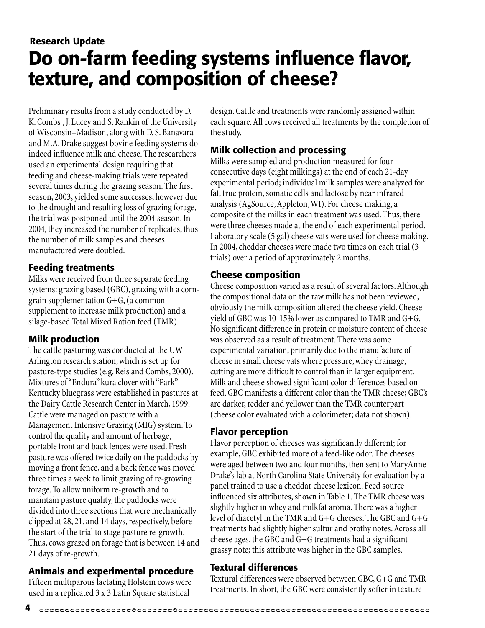### **Do on-farm feeding systems influence flavor, texture, and composition of cheese? Research Update**

Preliminary results from a study conducted by D. K. Combs , J. Lucey and S. Rankin of the University of Wisconsin–Madison, along with D. S. Banavara and M.A. Drake suggest bovine feeding systems do indeed influence milk and cheese. The researchers used an experimental design requiring that feeding and cheese-making trials were repeated several times during the grazing season. The first season, 2003, yielded some successes, however due to the drought and resulting loss of grazing forage, the trial was postponed until the 2004 season. In 2004, they increased the number of replicates, thus the number of milk samples and cheeses manufactured were doubled.

#### **Feeding treatments**

Milks were received from three separate feeding systems: grazing based (GBC), grazing with a corngrain supplementation G+G, (a common supplement to increase milk production) and a silage-based Total Mixed Ration feed (TMR).

#### **Milk production**

The cattle pasturing was conducted at the UW Arlington research station, which is set up for pasture-type studies (e.g. Reis and Combs, 2000). Mixtures of "Endura" kura clover with "Park" Kentucky bluegrass were established in pastures at the Dairy Cattle Research Center in March, 1999. Cattle were managed on pasture with a Management Intensive Grazing (MIG) system. To control the quality and amount of herbage, portable front and back fences were used. Fresh pasture was offered twice daily on the paddocks by moving a front fence, and a back fence was moved three times a week to limit grazing of re-growing forage. To allow uniform re-growth and to maintain pasture quality, the paddocks were divided into three sections that were mechanically clipped at 28, 21, and 14 days, respectively, before the start of the trial to stage pasture re-growth. Thus, cows grazed on forage that is between 14 and 21 days of re-growth.

#### **Animals and experimental procedure**

Fifteen multiparous lactating Holstein cows were used in a replicated 3 x 3 Latin Square statistical

design. Cattle and treatments were randomly assigned within each square. All cows received all treatments by the completion of the study.

#### **Milk collection and processing**

Milks were sampled and production measured for four consecutive days (eight milkings) at the end of each 21-day experimental period; individual milk samples were analyzed for fat, true protein, somatic cells and lactose by near infrared analysis (AgSource, Appleton, WI). For cheese making, a composite of the milks in each treatment was used. Thus, there were three cheeses made at the end of each experimental period. Laboratory scale (5 gal) cheese vats were used for cheese making. In 2004, cheddar cheeses were made two times on each trial (3 trials) over a period of approximately 2 months.

#### **Cheese composition**

Cheese composition varied as a result of several factors. Although the compositional data on the raw milk has not been reviewed, obviously the milk composition altered the cheese yield. Cheese yield of GBC was 10-15% lower as compared to TMR and G+G. No significant difference in protein or moisture content of cheese was observed as a result of treatment. There was some experimental variation, primarily due to the manufacture of cheese in small cheese vats where pressure, whey drainage, cutting are more difficult to control than in larger equipment. Milk and cheese showed significant color differences based on feed. GBC manifests a different color than the TMR cheese; GBC's are darker, redder and yellower than the TMR counterpart (cheese color evaluated with a colorimeter; data not shown).

#### **Flavor perception**

Flavor perception of cheeses was significantly different; for example, GBC exhibited more of a feed-like odor. The cheeses were aged between two and four months, then sent to MaryAnne Drake's lab at North Carolina State University for evaluation by a panel trained to use a cheddar cheese lexicon. Feed source influenced six attributes, shown in Table 1. The TMR cheese was slightly higher in whey and milkfat aroma. There was a higher level of diacetyl in the TMR and G+G cheeses. The GBC and G+G treatments had slightly higher sulfur and brothy notes. Across all cheese ages, the GBC and G+G treatments had a significant grassy note; this attribute was higher in the GBC samples.

#### **Textural differences**

Textural differences were observed between GBC, G+G and TMR treatments. In short, the GBC were consistently softer in texture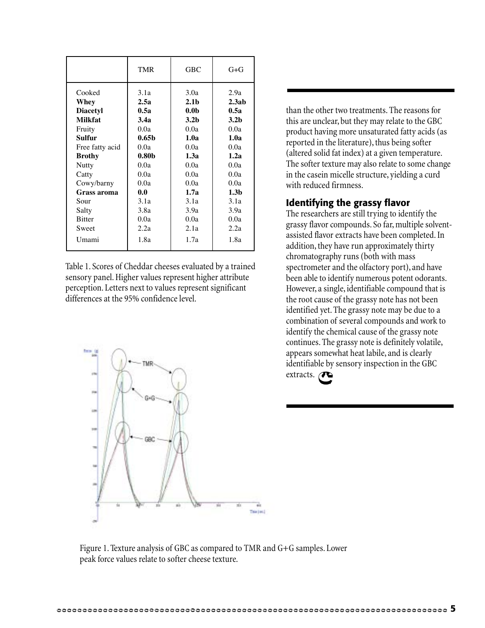|                                                                                                                                                            | <b>TMR</b>                                                                                                            | <b>GBC</b>                                                                                                                       | $G + G$                                                                                                               |
|------------------------------------------------------------------------------------------------------------------------------------------------------------|-----------------------------------------------------------------------------------------------------------------------|----------------------------------------------------------------------------------------------------------------------------------|-----------------------------------------------------------------------------------------------------------------------|
| Cooked<br>Whey<br><b>Diacetyl</b><br><b>Milkfat</b><br>Fruity<br>Sulfur<br>Free fatty acid<br><b>Brothy</b><br>Nutty<br>Catty<br>Cowy/barny<br>Grass aroma | 3.1a<br>2.5a<br>0.5a<br>3.4a<br>0.0a<br>0.65 <sub>b</sub><br>0.0a<br>0.80 <sub>b</sub><br>0.0a<br>0.0a<br>0.0a<br>0.0 | 3.0a<br>2.1 <sub>b</sub><br>0.0 <sub>b</sub><br>3.2 <sub>b</sub><br>0.0a<br>1.0a<br>0.0a<br>1.3a<br>0.0a<br>0.0a<br>0.0a<br>1.7a | 2.9a<br>2.3ab<br>0.5a<br>3.2 <sub>b</sub><br>0.0a<br>1.0a<br>0.0a<br>1.2a<br>0.0a<br>0.0a<br>0.0a<br>1.3 <sub>b</sub> |
| Sour                                                                                                                                                       | 3.1a                                                                                                                  | 3.1a                                                                                                                             | 3.1a                                                                                                                  |
| Salty                                                                                                                                                      | 3.8a                                                                                                                  | 3.9a                                                                                                                             | 3.9a                                                                                                                  |
| <b>Bitter</b>                                                                                                                                              | 0.0a                                                                                                                  | 0.0a                                                                                                                             | 0.0a                                                                                                                  |
| Sweet                                                                                                                                                      | 2.2a                                                                                                                  | 2.1a                                                                                                                             | 2.2a                                                                                                                  |
| Umami                                                                                                                                                      | 1.8a                                                                                                                  | 1.7a                                                                                                                             | 1.8a                                                                                                                  |

Table 1. Scores of Cheddar cheeses evaluated by a trained sensory panel. Higher values represent higher attribute perception. Letters next to values represent significant differences at the 95% confidence level.

than the other two treatments. The reasons for this are unclear, but they may relate to the GBC product having more unsaturated fatty acids (as reported in the literature), thus being softer (altered solid fat index) at a given temperature. The softer texture may also relate to some change in the casein micelle structure, yielding a curd with reduced firmness.

#### **Identifying the grassy flavor**

The researchers are still trying to identify the grassy flavor compounds. So far, multiple solventassisted flavor extracts have been completed. In addition, they have run approximately thirty chromatography runs (both with mass spectrometer and the olfactory port), and have been able to identify numerous potent odorants. However, a single, identifiable compound that is the root cause of the grassy note has not been identified yet. The grassy note may be due to a combination of several compounds and work to identify the chemical cause of the grassy note continues. The grassy note is definitely volatile, appears somewhat heat labile, and is clearly identifiable by sensory inspection in the GBC extracts.



Figure 1. Texture analysis of GBC as compared to TMR and G+G samples. Lower peak force values relate to softer cheese texture.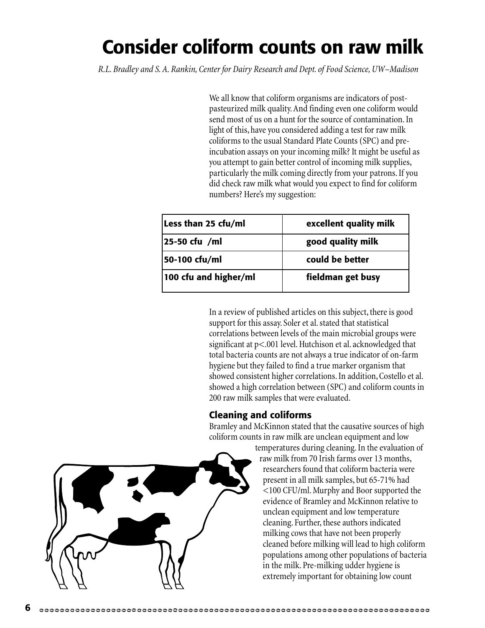### **Consider coliform counts on raw milk**

*R.L. Bradley and S. A. Rankin, Center for Dairy Research and Dept. of Food Science, UW–Madison*

We all know that coliform organisms are indicators of postpasteurized milk quality. And finding even one coliform would send most of us on a hunt for the source of contamination. In light of this, have you considered adding a test for raw milk coliforms to the usual Standard Plate Counts (SPC) and preincubation assays on your incoming milk? It might be useful as you attempt to gain better control of incoming milk supplies, particularly the milk coming directly from your patrons. If you did check raw milk what would you expect to find for coliform numbers? Here's my suggestion:

| Less than 25 cfu/ml   | excellent quality milk |  |
|-----------------------|------------------------|--|
| 25-50 cfu /ml         | good quality milk      |  |
| 50-100 cfu/ml         | could be better        |  |
| 100 cfu and higher/ml | fieldman get busy      |  |

In a review of published articles on this subject, there is good support for this assay. Soler et al. stated that statistical correlations between levels of the main microbial groups were significant at p<.001 level. Hutchison et al. acknowledged that total bacteria counts are not always a true indicator of on-farm hygiene but they failed to find a true marker organism that showed consistent higher correlations. In addition, Costello et al. showed a high correlation between (SPC) and coliform counts in 200 raw milk samples that were evaluated.

#### **Cleaning and coliforms**

Bramley and McKinnon stated that the causative sources of high coliform counts in raw milk are unclean equipment and low

temperatures during cleaning. In the evaluation of raw milk from 70 Irish farms over 13 months, researchers found that coliform bacteria were present in all milk samples, but 65-71% had <100 CFU/ml. Murphy and Boor supported the evidence of Bramley and McKinnon relative to unclean equipment and low temperature cleaning. Further, these authors indicated milking cows that have not been properly cleaned before milking will lead to high coliform populations among other populations of bacteria in the milk. Pre-milking udder hygiene is extremely important for obtaining low count

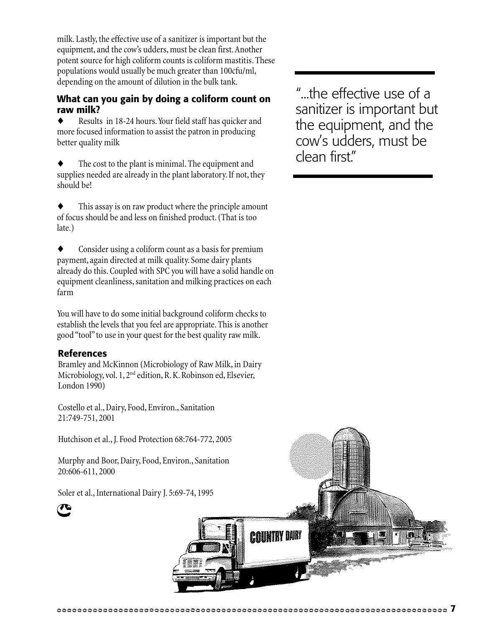milk. Lastly, the effective use of a sanitizer is important but the equipment, and the cow's udders, must be clean first. Another potent source for high coliform counts is coliform mastitis. These populations would usually be much greater than 100cfu/ml, depending on the amount of dilution in the bulk tank.

#### **What can you gain by doing a coliform count on raw milk?**

Results in 18-24 hours. Your field staff has quicker and more focused information to assist the patron in producing better quality milk

The cost to the plant is minimal. The equipment and supplies needed are already in the plant laboratory. If not, they should be!

This assay is on raw product where the principle amount of focus should be and less on finished product. (That is too late.)

Consider using a coliform count as a basis for premium payment, again directed at milk quality. Some dairy plants already do this. Coupled with SPC you will have a solid handle on equipment cleanliness, sanitation and milking practices on each farm

You will have to do some initial background coliform checks to establish the levels that you feel are appropriate. This is another good "tool" to use in your quest for the best quality raw milk.

#### **References**

Bramley and McKinnon (Microbiology of Raw Milk, in Dairy Microbiology, vol. 1, 2<sup>nd</sup> edition, R. K. Robinson ed, Elsevier, London 1990)

Costello et al., Dairy, Food, Environ., Sanitation 21:749-751, 2001

Hutchison et al., J. Food Protection 68:764-772, 2005

Murphy and Boor, Dairy, Food, Environ., Sanitation 20:606-611, 2000

Soler et al., International Dairy J. 5:69-74, 1995

"...the effective use of a sanitizer is important but the equipment, and the cow's udders, must be clean first."



a nintay niay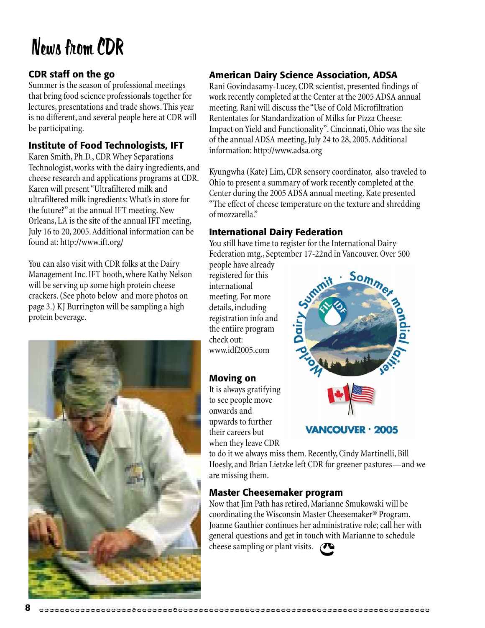### News from CDR

#### **CDR staff on the go**

Summer is the season of professional meetings that bring food science professionals together for lectures, presentations and trade shows. This year is no different, and several people here at CDR will be participating.

#### **Institute of Food Technologists, IFT**

Karen Smith, Ph.D., CDR Whey Separations Technologist, works with the dairy ingredients, and cheese research and applications programs at CDR. Karen will present "Ultrafiltered milk and ultrafiltered milk ingredients: What's in store for the future?" at the annual IFT meeting. New Orleans, LA is the site of the annual IFT meeting, July 16 to 20, 2005. Additional information can be found at: http://www.ift.org/

You can also visit with CDR folks at the Dairy Management Inc. IFT booth, where Kathy Nelson will be serving up some high protein cheese crackers. (See photo below and more photos on page 3.) KJ Burrington will be sampling a high protein beverage.



#### **American Dairy Science Association, ADSA**

Rani Govindasamy-Lucey, CDR scientist, presented findings of work recently completed at the Center at the 2005 ADSA annual meeting. Rani will discuss the "Use of Cold Microfiltration Rententates for Standardization of Milks for Pizza Cheese: Impact on Yield and Functionality". Cincinnati, Ohio was the site of the annual ADSA meeting, July 24 to 28, 2005. Additional information: http://www.adsa.org

Kyungwha (Kate) Lim, CDR sensory coordinator, also traveled to Ohio to present a summary of work recently completed at the Center during the 2005 ADSA annual meeting. Kate presented "The effect of cheese temperature on the texture and shredding of mozzarella."

#### **International Dairy Federation**

You still have time to register for the International Dairy Federation mtg., September 17-22nd in Vancouver. Over 500

people have already registered for this international meeting. For more details, including registration info and the entiire program check out: www.idf2005.com

#### **Moving on**

It is always gratifying to see people move onwards and upwards to further their careers but when they leave CDR



to do it we always miss them. Recently, Cindy Martinelli, Bill Hoesly, and Brian Lietzke left CDR for greener pastures—and we are missing them.

#### **Master Cheesemaker program**

Now that Jim Path has retired, Marianne Smukowski will be coordinating the Wisconsin Master Cheesemaker® Program. Joanne Gauthier continues her administrative role; call her with general questions and get in touch with Marianne to schedule cheese sampling or plant visits. <sup>(</sup>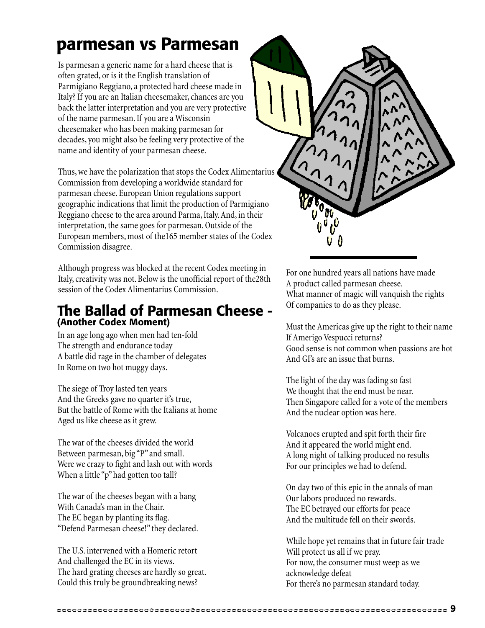### **parmesan vs Parmesan**

Is parmesan a generic name for a hard cheese that is often grated, or is it the English translation of Parmigiano Reggiano, a protected hard cheese made in Italy? If you are an Italian cheesemaker, chances are you back the latter interpretation and you are very protective of the name parmesan. If you are a Wisconsin cheesemaker who has been making parmesan for decades, you might also be feeling very protective of the name and identity of your parmesan cheese.

Thus, we have the polarization that stops the Codex Alimentarius Commission from developing a worldwide standard for parmesan cheese. European Union regulations support geographic indications that limit the production of Parmigiano Reggiano cheese to the area around Parma, Italy. And, in their interpretation, the same goes for parmesan. Outside of the European members, most of the165 member states of the Codex Commission disagree.

Although progress was blocked at the recent Codex meeting in Italy, creativity was not. Below is the unofficial report of the28th session of the Codex Alimentarius Commission.

### **The Ballad of Parmesan Cheese - (Another Codex Moment)**

In an age long ago when men had ten-fold The strength and endurance today A battle did rage in the chamber of delegates In Rome on two hot muggy days.

The siege of Troy lasted ten years And the Greeks gave no quarter it's true, But the battle of Rome with the Italians at home Aged us like cheese as it grew.

The war of the cheeses divided the world Between parmesan, big "P" and small. Were we crazy to fight and lash out with words When a little "p" had gotten too tall?

The war of the cheeses began with a bang With Canada's man in the Chair. The EC began by planting its flag. "Defend Parmesan cheese!" they declared.

The U.S. intervened with a Homeric retort And challenged the EC in its views. The hard grating cheeses are hardly so great. Could this truly be groundbreaking news?



For one hundred years all nations have made A product called parmesan cheese. What manner of magic will vanquish the rights Of companies to do as they please.

Must the Americas give up the right to their name If Amerigo Vespucci returns? Good sense is not common when passions are hot And GI's are an issue that burns.

The light of the day was fading so fast We thought that the end must be near. Then Singapore called for a vote of the members And the nuclear option was here.

Volcanoes erupted and spit forth their fire And it appeared the world might end. A long night of talking produced no results For our principles we had to defend.

On day two of this epic in the annals of man Our labors produced no rewards. The EC betrayed our efforts for peace And the multitude fell on their swords.

While hope yet remains that in future fair trade Will protect us all if we pray. For now, the consumer must weep as we acknowledge defeat For there's no parmesan standard today.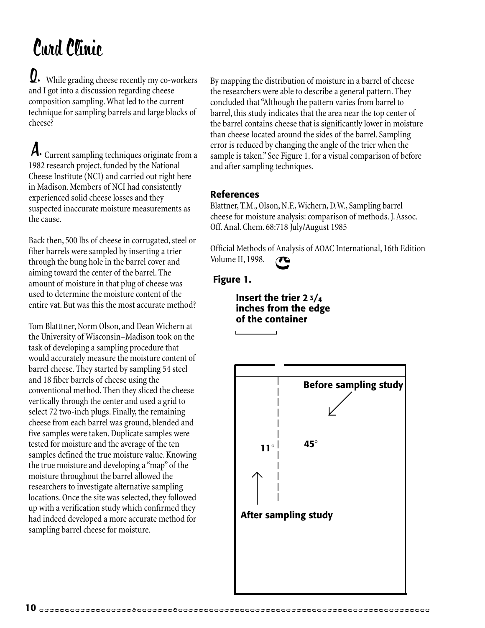## Curd Clinic

Q. While grading cheese recently my co-workers and I got into a discussion regarding cheese composition sampling. What led to the current technique for sampling barrels and large blocks of cheese?

A. Current sampling techniques originate from a 1982 research project, funded by the National Cheese Institute (NCI) and carried out right here in Madison. Members of NCI had consistently experienced solid cheese losses and they suspected inaccurate moisture measurements as the cause.

Back then, 500 lbs of cheese in corrugated, steel or fiber barrels were sampled by inserting a trier through the bung hole in the barrel cover and aiming toward the center of the barrel. The amount of moisture in that plug of cheese was used to determine the moisture content of the entire vat. But was this the most accurate method?

Tom Blatttner, Norm Olson, and Dean Wichern at the University of Wisconsin–Madison took on the task of developing a sampling procedure that would accurately measure the moisture content of barrel cheese. They started by sampling 54 steel and 18 fiber barrels of cheese using the conventional method. Then they sliced the cheese vertically through the center and used a grid to select 72 two-inch plugs. Finally, the remaining cheese from each barrel was ground, blended and five samples were taken. Duplicate samples were tested for moisture and the average of the ten samples defined the true moisture value. Knowing the true moisture and developing a "map" of the moisture throughout the barrel allowed the researchers to investigate alternative sampling locations. Once the site was selected, they followed up with a verification study which confirmed they had indeed developed a more accurate method for sampling barrel cheese for moisture.

By mapping the distribution of moisture in a barrel of cheese the researchers were able to describe a general pattern. They concluded that "Although the pattern varies from barrel to barrel, this study indicates that the area near the top center of the barrel contains cheese that is significantly lower in moisture than cheese located around the sides of the barrel. Sampling error is reduced by changing the angle of the trier when the sample is taken." See Figure 1. for a visual comparison of before and after sampling techniques.

#### **References**

Blattner, T.M., Olson, N.F., Wichern, D.W., Sampling barrel cheese for moisture analysis: comparison of methods. J. Assoc. Off. Anal. Chem. 68:718 July/August 1985

Official Methods of Analysis of AOAC International, 16th Edition Volume II, 1998.

#### **Figure 1.**

#### **Insert the trier 2 3/4 inches from the edge of the container**

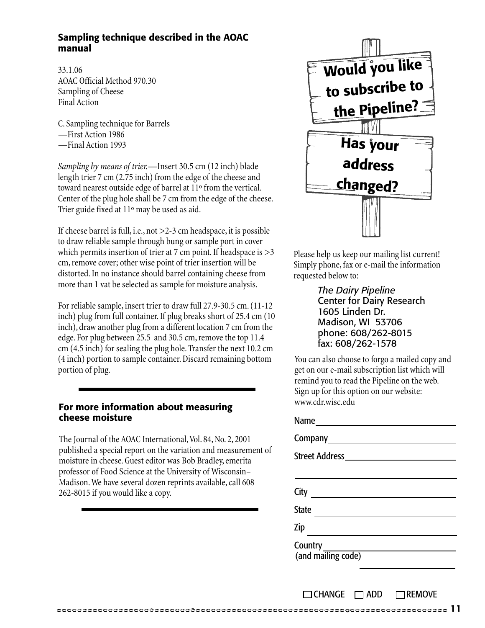#### **Sampling technique described in the AOAC manual**

33.1.06 AOAC Official Method 970.30 Sampling of Cheese Final Action

C. Sampling technique for Barrels —First Action 1986 —Final Action 1993

*Sampling by means of trier.*—Insert 30.5 cm (12 inch) blade length trier 7 cm (2.75 inch) from the edge of the cheese and toward nearest outside edge of barrel at 11º from the vertical. Center of the plug hole shall be 7 cm from the edge of the cheese. Trier guide fixed at 11º may be used as aid.

If cheese barrel is full, i.e., not >2-3 cm headspace, it is possible to draw reliable sample through bung or sample port in cover which permits insertion of trier at 7 cm point. If headspace is  $>$ 3 cm, remove cover; other wise point of trier insertion will be distorted. In no instance should barrel containing cheese from more than 1 vat be selected as sample for moisture analysis.

For reliable sample, insert trier to draw full 27.9-30.5 cm. (11-12 inch) plug from full container. If plug breaks short of 25.4 cm (10 inch), draw another plug from a different location 7 cm from the edge. For plug between 25.5 and 30.5 cm, remove the top 11.4 cm (4.5 inch) for sealing the plug hole. Transfer the next 10.2 cm (4 inch) portion to sample container. Discard remaining bottom portion of plug.

#### **For more information about measuring cheese moisture**

The Journal of the AOAC International, Vol. 84, No. 2, 2001 published a special report on the variation and measurement of moisture in cheese. Guest editor was Bob Bradley, emerita professor of Food Science at the University of Wisconsin– Madison. We have several dozen reprints available, call 608 262-8015 if you would like a copy.



Please help us keep our mailing list current! Simply phone, fax or e-mail the information requested below to:

> *The Dairy Pipeline* Center for Dairy Research 1605 Linden Dr. Madison, WI 53706 phone: 608/262-8015 fax: 608/262-1578

You can also choose to forgo a mailed copy and get on our e-mail subscription list which will remind you to read the Pipeline on the web. Sign up for this option on our website: www.cdr.wisc.edu

Name

| ,,,,,,                                        |
|-----------------------------------------------|
| Company <b>Company</b>                        |
| Street Address <b>Exercise Street Address</b> |
|                                               |
| City                                          |
| <b>State</b>                                  |
| Zip                                           |
| Country _____<br>(and mailing code)           |
|                                               |